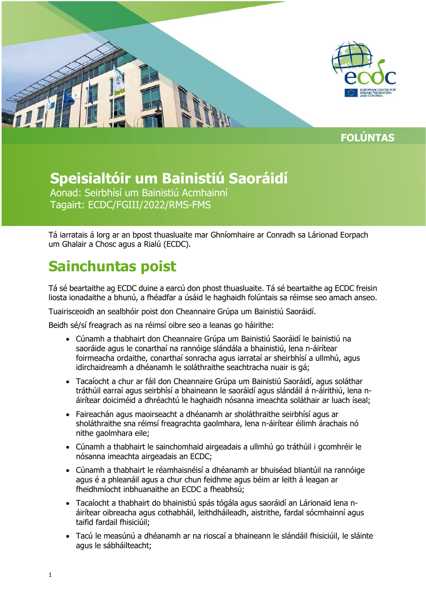

**FOLÚNTAS**

## **Speisialtóir um Bainistiú Saoráidí**

Aonad: Seirbhísí um Bainistiú Acmhainní Tagairt: ECDC/FGIII/2022/RMS-FMS

Tá iarratais á lorg ar an bpost thuasluaite mar Ghníomhaire ar Conradh sa Lárionad Eorpach um Ghalair a Chosc agus a Rialú (ECDC).

# **Sainchuntas poist**

Tá sé beartaithe ag ECDC duine a earcú don phost thuasluaite. Tá sé beartaithe ag ECDC freisin liosta ionadaithe a bhunú, a fhéadfar a úsáid le haghaidh folúntais sa réimse seo amach anseo.

Tuairisceoidh an sealbhóir poist don Cheannaire Grúpa um Bainistiú Saoráidí.

Beidh sé/sí freagrach as na réimsí oibre seo a leanas go háirithe:

- Cúnamh a thabhairt don Cheannaire Grúpa um Bainistiú Saoráidí le bainistiú na saoráide agus le conarthaí na rannóige slándála a bhainistiú, lena n-áirítear foirmeacha ordaithe, conarthaí sonracha agus iarrataí ar sheirbhísí a ullmhú, agus idirchaidreamh a dhéanamh le soláthraithe seachtracha nuair is gá;
- Tacaíocht a chur ar fáil don Cheannaire Grúpa um Bainistiú Saoráidí, agus soláthar tráthúil earraí agus seirbhísí a bhaineann le saoráidí agus slándáil á n-áirithiú, lena náirítear doiciméid a dhréachtú le haghaidh nósanna imeachta soláthair ar luach íseal;
- Faireachán agus maoirseacht a dhéanamh ar sholáthraithe seirbhísí agus ar sholáthraithe sna réimsí freagrachta gaolmhara, lena n-áirítear éilimh árachais nó nithe gaolmhara eile;
- Cúnamh a thabhairt le sainchomhaid airgeadais a ullmhú go tráthúil i gcomhréir le nósanna imeachta airgeadais an ECDC;
- Cúnamh a thabhairt le réamhaisnéisí a dhéanamh ar bhuiséad bliantúil na rannóige agus é a phleanáil agus a chur chun feidhme agus béim ar leith á leagan ar fheidhmíocht inbhuanaithe an ECDC a fheabhsú;
- Tacaíocht a thabhairt do bhainistiú spás tógála agus saoráidí an Lárionaid lena náirítear oibreacha agus cothabháil, leithdháileadh, aistrithe, fardal sócmhainní agus taifid fardail fhisiciúil;
- Tacú le measúnú a dhéanamh ar na rioscaí a bhaineann le slándáil fhisiciúil, le sláinte agus le sábháilteacht;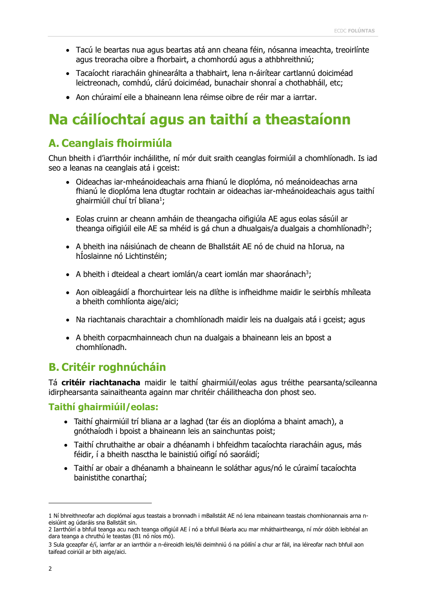- Tacú le beartas nua agus beartas atá ann cheana féin, nósanna imeachta, treoirlínte agus treoracha oibre a fhorbairt, a chomhordú agus a athbhreithniú;
- Tacaíocht riaracháin ghinearálta a thabhairt, lena n-áirítear cartlannú doiciméad leictreonach, comhdú, clárú doiciméad, bunachair shonraí a chothabháil, etc;
- Aon chúraimí eile a bhaineann lena réimse oibre de réir mar a iarrtar.

# **Na cáilíochtaí agus an taithí a theastaíonn**

### **A. Ceanglais fhoirmiúla**

Chun bheith i d'iarrthóir incháilithe, ní mór duit sraith ceanglas foirmiúil a chomhlíonadh. Is iad seo a leanas na ceanglais atá i gceist:

- Oideachas iar-mheánoideachais arna fhianú le dioplóma, nó meánoideachas arna fhianú le dioplóma lena dtugtar rochtain ar oideachas iar-mheánoideachais agus taithí ghairmiúil chuí trí bliana<sup>1</sup>;
- Eolas cruinn ar cheann amháin de theangacha oifigiúla AE agus eolas sásúil ar theanga oifigiúil eile AE sa mhéid is gá chun a dhualgais/a dualgais a chomhlíonadh<sup>2</sup>;
- A bheith ina náisiúnach de cheann de Bhallstáit AE nó de chuid na hIorua, na hÍoslainne nó Lichtinstéin;
- A bheith i dteideal a cheart iomlán/a ceart iomlán mar shaoránach<sup>3</sup>;
- Aon oibleagáidí a fhorchuirtear leis na dlíthe is infheidhme maidir le seirbhís mhíleata a bheith comhlíonta aige/aici;
- Na riachtanais charachtair a chomhlíonadh maidir leis na dualgais atá i gceist; agus
- A bheith corpacmhainneach chun na dualgais a bhaineann leis an bpost a chomhlíonadh.

### **B. Critéir roghnúcháin**

Tá **critéir riachtanacha** maidir le taithí ghairmiúil/eolas agus tréithe pearsanta/scileanna idirphearsanta sainaitheanta againn mar chritéir cháilitheacha don phost seo.

#### **Taithí ghairmiúil/eolas:**

- Taithí ghairmiúil trí bliana ar a laghad (tar éis an dioplóma a bhaint amach), a gnóthaíodh i bpoist a bhaineann leis an sainchuntas poist;
- Taithí chruthaithe ar obair a dhéanamh i bhfeidhm tacaíochta riaracháin agus, más féidir, í a bheith nasctha le bainistiú oifigí nó saoráidí;
- Taithí ar obair a dhéanamh a bhaineann le soláthar agus/nó le cúraimí tacaíochta bainistithe conarthaí;

j

<sup>1</sup> Ní bhreithneofar ach dioplómaí agus teastais a bronnadh i mBallstáit AE nó lena mbaineann teastais chomhionannais arna neisiúint ag údaráis sna Ballstáit sin.

<sup>2</sup> Iarrthóirí a bhfuil teanga acu nach teanga oifigiúil AE í nó a bhfuil Béarla acu mar mháthairtheanga, ní mór dóibh leibhéal an dara teanga a chruthú le teastas (B1 nó níos mó).

<sup>3</sup> Sula gceapfar é/í, iarrfar ar an iarrthóir a n-éireoidh leis/léi deimhniú ó na póilíní a chur ar fáil, ina léireofar nach bhfuil aon taifead coiriúil ar bith aige/aici.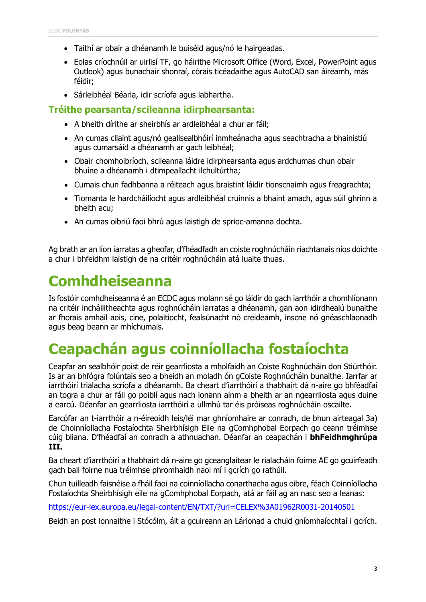- Taithí ar obair a dhéanamh le buiséid agus/nó le hairgeadas.
- Eolas críochnúil ar uirlisí TF, go háirithe Microsoft Office (Word, Excel, PowerPoint agus Outlook) agus bunachair shonraí, córais ticéadaithe agus AutoCAD san áireamh, más féidir;
- Sárleibhéal Béarla, idir scríofa agus labhartha.

#### **Tréithe pearsanta/scileanna idirphearsanta:**

- A bheith dírithe ar sheirbhís ar ardleibhéal a chur ar fáil;
- An cumas cliaint agus/nó geallsealbhóirí inmheánacha agus seachtracha a bhainistiú agus cumarsáid a dhéanamh ar gach leibhéal;
- Obair chomhoibríoch, scileanna láidre idirphearsanta agus ardchumas chun obair bhuíne a dhéanamh i dtimpeallacht ilchultúrtha;
- Cumais chun fadhbanna a réiteach agus braistint láidir tionscnaimh agus freagrachta;
- Tiomanta le hardcháilíocht agus ardleibhéal cruinnis a bhaint amach, agus súil ghrinn a bheith acu;
- An cumas oibriú faoi bhrú agus laistigh de sprioc-amanna dochta.

Ag brath ar an líon iarratas a gheofar, d'fhéadfadh an coiste roghnúcháin riachtanais níos doichte a chur i bhfeidhm laistigh de na critéir roghnúcháin atá luaite thuas.

## **Comhdheiseanna**

Is fostóir comhdheiseanna é an ECDC agus molann sé go láidir do gach iarrthóir a chomhlíonann na critéir incháilitheachta agus roghnúcháin iarratas a dhéanamh, gan aon idirdhealú bunaithe ar fhorais amhail aois, cine, polaitíocht, fealsúnacht nó creideamh, inscne nó gnéaschlaonadh agus beag beann ar mhíchumais.

## **Ceapachán agus coinníollacha fostaíochta**

Ceapfar an sealbhóir poist de réir gearrliosta a mholfaidh an Coiste Roghnúcháin don Stiúrthóir. Is ar an bhfógra folúntais seo a bheidh an moladh ón gCoiste Roghnúcháin bunaithe. Iarrfar ar iarrthóirí trialacha scríofa a dhéanamh. Ba cheart d'iarrthóirí a thabhairt dá n-aire go bhféadfaí an togra a chur ar fáil go poiblí agus nach ionann ainm a bheith ar an ngearrliosta agus duine a earcú. Déanfar an gearrliosta iarrthóirí a ullmhú tar éis próiseas roghnúcháin oscailte.

Earcófar an t-iarrthóir a n-éireoidh leis/léi mar ghníomhaire ar conradh, de bhun airteagal 3a) de Choinníollacha Fostaíochta Sheirbhísigh Eile na gComhphobal Eorpach go ceann tréimhse cúig bliana. D'fhéadfaí an conradh a athnuachan. Déanfar an ceapachán i **bhFeidhmghrúpa III.**

Ba cheart d'iarrthóirí a thabhairt dá n-aire go gceanglaítear le rialacháin foirne AE go gcuirfeadh gach ball foirne nua tréimhse phromhaidh naoi mí i gcrích go rathúil.

Chun tuilleadh faisnéise a fháil faoi na coinníollacha conarthacha agus oibre, féach Coinníollacha Fostaíochta Sheirbhísigh eile na gComhphobal Eorpach, atá ar fáil ag an nasc seo a leanas:

<https://eur-lex.europa.eu/legal-content/EN/TXT/?uri=CELEX%3A01962R0031-20140501>

Beidh an post lonnaithe i Stócólm, áit a gcuireann an Lárionad a chuid gníomhaíochtaí i gcrích.